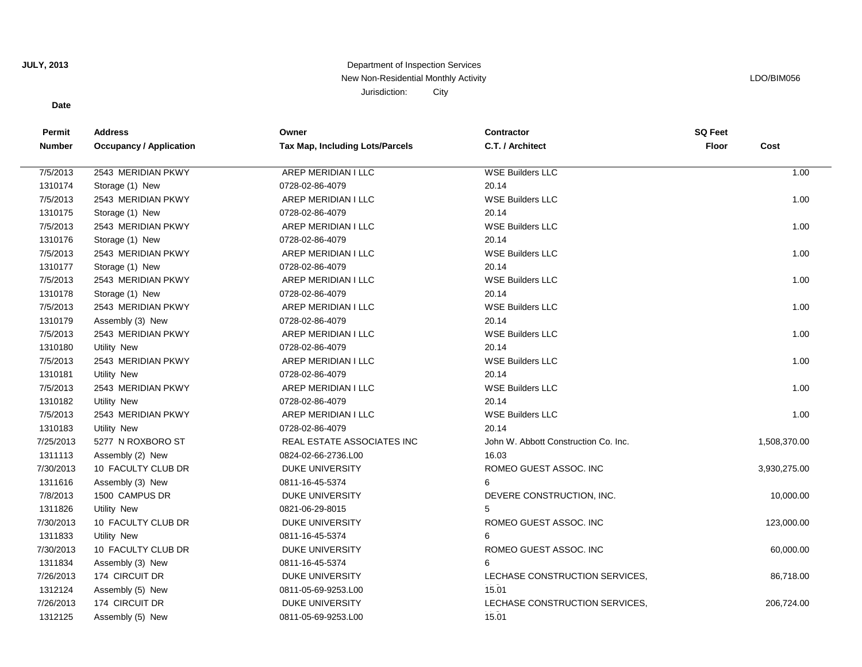# **JULY, 2013**

# Department of Inspection Services New Non-Residential Monthly Activity **LACTION** CONSULTER THE RESIDENT OF THE RESIDENT OF THE RESIDENT OF THE RESIDENT OF THE RESIDENT OF THE RESIDENT OF THE RESIDENT OF THE RESIDENT OF THE RESIDENT OF THE RESIDENT OF THE R Jurisdiction: City

### **Date**

| Permit        | <b>Address</b>                 | Owner                           | <b>Contractor</b>                    | <b>SQ Feet</b> |              |
|---------------|--------------------------------|---------------------------------|--------------------------------------|----------------|--------------|
| <b>Number</b> | <b>Occupancy / Application</b> | Tax Map, Including Lots/Parcels | C.T. / Architect                     | Floor          | Cost         |
|               |                                |                                 |                                      |                |              |
| 7/5/2013      | 2543 MERIDIAN PKWY             | AREP MERIDIAN I LLC             | <b>WSE Builders LLC</b>              |                | 1.00         |
| 1310174       | Storage (1) New                | 0728-02-86-4079                 | 20.14                                |                |              |
| 7/5/2013      | 2543 MERIDIAN PKWY             | AREP MERIDIAN I LLC             | <b>WSE Builders LLC</b>              |                | 1.00         |
| 1310175       | Storage (1) New                | 0728-02-86-4079                 | 20.14                                |                |              |
| 7/5/2013      | 2543 MERIDIAN PKWY             | AREP MERIDIAN I LLC             | <b>WSE Builders LLC</b>              |                | 1.00         |
| 1310176       | Storage (1) New                | 0728-02-86-4079                 | 20.14                                |                |              |
| 7/5/2013      | 2543 MERIDIAN PKWY             | AREP MERIDIAN I LLC             | <b>WSE Builders LLC</b>              |                | 1.00         |
| 1310177       | Storage (1) New                | 0728-02-86-4079                 | 20.14                                |                |              |
| 7/5/2013      | 2543 MERIDIAN PKWY             | AREP MERIDIAN I LLC             | <b>WSE Builders LLC</b>              |                | 1.00         |
| 1310178       | Storage (1) New                | 0728-02-86-4079                 | 20.14                                |                |              |
| 7/5/2013      | 2543 MERIDIAN PKWY             | AREP MERIDIAN I LLC             | <b>WSE Builders LLC</b>              |                | 1.00         |
| 1310179       | Assembly (3) New               | 0728-02-86-4079                 | 20.14                                |                |              |
| 7/5/2013      | 2543 MERIDIAN PKWY             | AREP MERIDIAN I LLC             | <b>WSE Builders LLC</b>              |                | 1.00         |
| 1310180       | Utility New                    | 0728-02-86-4079                 | 20.14                                |                |              |
| 7/5/2013      | 2543 MERIDIAN PKWY             | AREP MERIDIAN I LLC             | <b>WSE Builders LLC</b>              |                | 1.00         |
| 1310181       | Utility New                    | 0728-02-86-4079                 | 20.14                                |                |              |
| 7/5/2013      | 2543 MERIDIAN PKWY             | AREP MERIDIAN I LLC             | <b>WSE Builders LLC</b>              |                | 1.00         |
| 1310182       | Utility New                    | 0728-02-86-4079                 | 20.14                                |                |              |
| 7/5/2013      | 2543 MERIDIAN PKWY             | AREP MERIDIAN I LLC             | <b>WSE Builders LLC</b>              |                | 1.00         |
| 1310183       | Utility New                    | 0728-02-86-4079                 | 20.14                                |                |              |
| 7/25/2013     | 5277 N ROXBORO ST              | REAL ESTATE ASSOCIATES INC      | John W. Abbott Construction Co. Inc. |                | 1,508,370.00 |
| 1311113       | Assembly (2) New               | 0824-02-66-2736.L00             | 16.03                                |                |              |
| 7/30/2013     | 10 FACULTY CLUB DR             | <b>DUKE UNIVERSITY</b>          | ROMEO GUEST ASSOC. INC               |                | 3,930,275.00 |
| 1311616       | Assembly (3) New               | 0811-16-45-5374                 | 6                                    |                |              |
| 7/8/2013      | 1500 CAMPUS DR                 | <b>DUKE UNIVERSITY</b>          | DEVERE CONSTRUCTION, INC.            |                | 10,000.00    |
| 1311826       | <b>Utility New</b>             | 0821-06-29-8015                 | 5                                    |                |              |
| 7/30/2013     | 10 FACULTY CLUB DR             | <b>DUKE UNIVERSITY</b>          | ROMEO GUEST ASSOC. INC               |                | 123,000.00   |
| 1311833       | <b>Utility New</b>             | 0811-16-45-5374                 | 6                                    |                |              |
| 7/30/2013     | 10 FACULTY CLUB DR             | <b>DUKE UNIVERSITY</b>          | ROMEO GUEST ASSOC. INC               |                | 60,000.00    |
| 1311834       | Assembly (3) New               | 0811-16-45-5374                 | 6                                    |                |              |
| 7/26/2013     | 174 CIRCUIT DR                 | <b>DUKE UNIVERSITY</b>          | LECHASE CONSTRUCTION SERVICES,       |                | 86,718.00    |
| 1312124       | Assembly (5) New               | 0811-05-69-9253.L00             | 15.01                                |                |              |
| 7/26/2013     | 174 CIRCUIT DR                 | <b>DUKE UNIVERSITY</b>          | LECHASE CONSTRUCTION SERVICES,       |                | 206,724.00   |
| 1312125       | Assembly (5) New               | 0811-05-69-9253.L00             | 15.01                                |                |              |